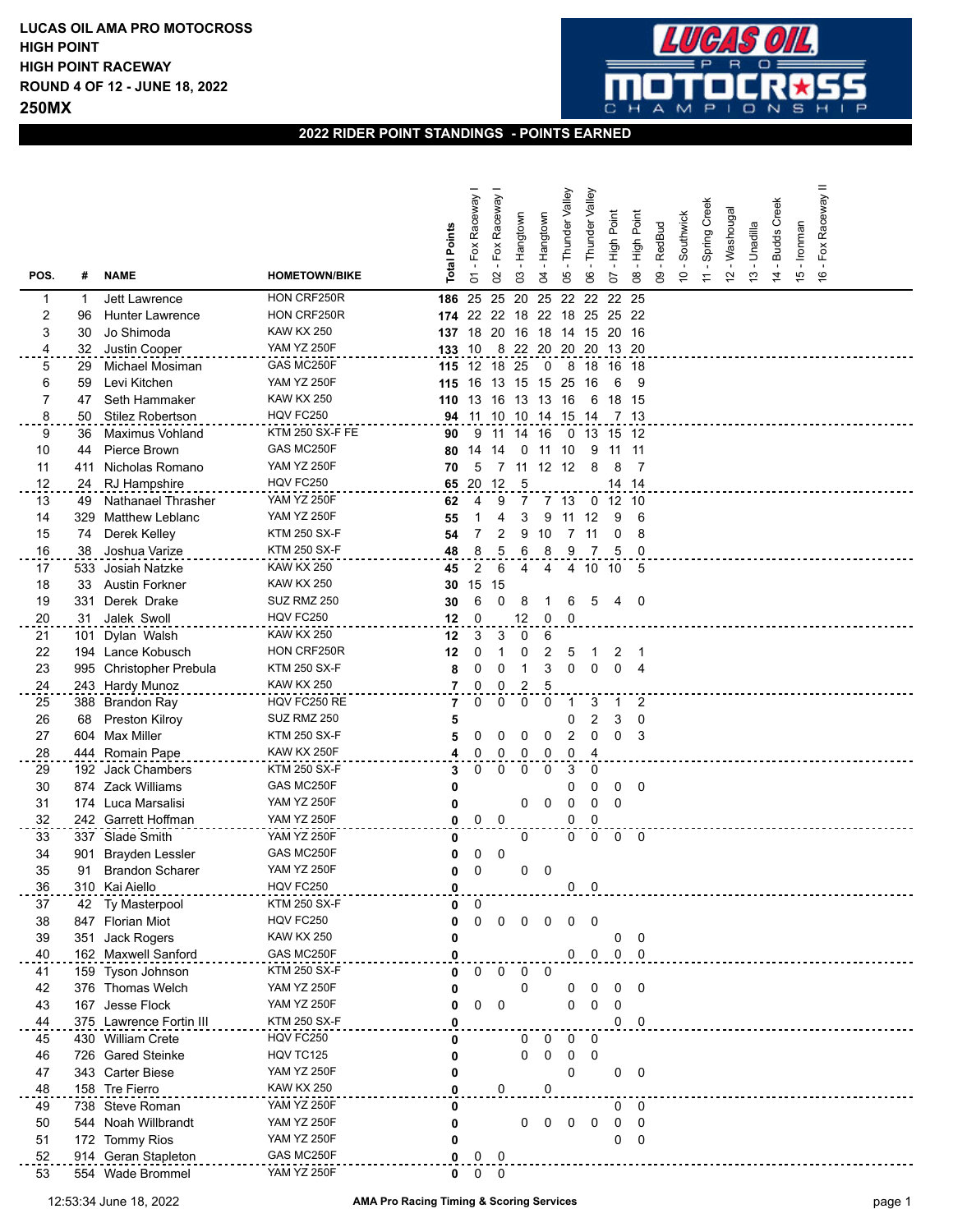

## **2022 RIDER POINT STANDINGS - POINTS EARNED**

| POS.                | #        | <b>NAME</b>                             | <b>HOMETOWN/BIKE</b>           | <b>Total Points</b> | Fox Raceway<br>5    | Raceway<br>Fox<br>$\mathcal{S}$ | Hangtown<br>3 | Hangtown<br>3           | Valley<br>Thunder<br>80 | Valley<br>Thunder<br>8  | Point<br>동<br>도<br>5 | <b>High Point</b><br>80  | RedBud<br>$\mathbf{S}$ | Southwick<br>$\tilde{0}$ | Spring Creek<br>$\overline{r}$ | Washougal<br>$\tilde{c}$ | - Unadilla<br>$\tilde{c}$ | - Budds Creek<br>$\overline{4}$ | - Ironman<br>$\frac{5}{2}$ | =<br>Fox Raceway<br>$\frac{6}{5}$ |  |
|---------------------|----------|-----------------------------------------|--------------------------------|---------------------|---------------------|---------------------------------|---------------|-------------------------|-------------------------|-------------------------|----------------------|--------------------------|------------------------|--------------------------|--------------------------------|--------------------------|---------------------------|---------------------------------|----------------------------|-----------------------------------|--|
|                     |          |                                         | HON CRF250R                    |                     | 25                  | 25                              |               | 25                      | 22                      | 22                      | 22 25                |                          |                        |                          |                                |                          |                           |                                 |                            |                                   |  |
| 1<br>2              | 1<br>96  | Jett Lawrence<br><b>Hunter Lawrence</b> | HON CRF250R                    | 186                 | 174 22              | 22                              | 20<br>18      | 22                      | 18                      | 25                      | 25 22                |                          |                        |                          |                                |                          |                           |                                 |                            |                                   |  |
| 3                   | 30       | Jo Shimoda                              | <b>KAW KX 250</b>              |                     | 18                  | 20                              | 16            | 18                      | 14                      | 15                      | 20                   | - 16                     |                        |                          |                                |                          |                           |                                 |                            |                                   |  |
| 4                   | 32       | Justin Cooper                           | <b>YAM YZ 250F</b>             | 137<br>133 10       |                     | 8                               |               | 22 20 20 20 13 20       |                         |                         |                      |                          |                        |                          |                                |                          |                           |                                 |                            |                                   |  |
|                     |          |                                         | GAS MC250F                     |                     |                     |                                 |               |                         |                         |                         |                      |                          |                        |                          |                                |                          |                           |                                 |                            |                                   |  |
| 5                   | 29       | Michael Mosiman                         | YAM YZ 250F                    |                     | 115 12              | 18                              | 25            | 0                       | - 8                     | 18                      | 16 18                |                          |                        |                          |                                |                          |                           |                                 |                            |                                   |  |
| 6<br>$\overline{7}$ | 59       | Levi Kitchen                            |                                | 115                 | 16                  | 13                              | 15            | 15                      | 25                      | 16                      | 6                    | 9                        |                        |                          |                                |                          |                           |                                 |                            |                                   |  |
|                     | 47       | Seth Hammaker                           | <b>KAW KX 250</b><br>HQV FC250 | 110                 | 13                  | 16                              | 13            | -13                     | 16                      | 6                       | 18                   | -15                      |                        |                          |                                |                          |                           |                                 |                            |                                   |  |
| 8                   | 50       | <b>Stilez Robertson</b>                 | KTM 250 SX-F FE                | 94                  | 11                  | 10                              | 10<br>14      |                         | 14 15                   | 14                      |                      | 7 13                     |                        |                          |                                |                          |                           |                                 |                            |                                   |  |
| 9                   | 36       | <b>Maximus Vohland</b>                  | GAS MC250F                     | 90                  | 9                   | 11                              |               | -16                     | 0                       |                         | 13 15 12             |                          |                        |                          |                                |                          |                           |                                 |                            |                                   |  |
| 10                  | 44       | Pierce Brown<br>Nicholas Romano         | <b>YAM YZ 250F</b>             | 80                  | 14                  | 14                              | 0<br>11       | 11                      | 10<br>12 12             | 9<br>8                  | 11<br>8              | 11<br>$\overline{7}$     |                        |                          |                                |                          |                           |                                 |                            |                                   |  |
| 11                  | 411      | <b>RJ</b> Hampshire                     | HQV FC250                      | 70                  | 5<br>20             | -12                             | 5             |                         |                         |                         |                      | 14 14                    |                        |                          |                                |                          |                           |                                 |                            |                                   |  |
| 12<br>13            | 24       | Nathanael Thrasher                      | <b>YAM YZ 250F</b>             | 65                  |                     | 9                               | 7             | 7                       | -13                     |                         | $0$ 12 10            |                          |                        |                          |                                |                          |                           |                                 |                            |                                   |  |
| 14                  | 49       | <b>Matthew Leblanc</b>                  | <b>YAM YZ 250F</b>             | 62                  | 4                   |                                 | 3             |                         |                         |                         | 9                    | 6                        |                        |                          |                                |                          |                           |                                 |                            |                                   |  |
| 15                  | 329      | Derek Kelley                            | <b>KTM 250 SX-F</b>            | 55                  |                     |                                 | 9             | 9                       | 11                      | 12                      |                      | 8                        |                        |                          |                                |                          |                           |                                 |                            |                                   |  |
| 16                  | 74<br>38 | Joshua Varize                           | <b>KTM 250 SX-F</b>            | 54<br>48            | 8                   | 2<br>5                          | 6             | 10<br>8                 | 7<br>9                  | 11                      | 0<br>5               | 0                        |                        |                          |                                |                          |                           |                                 |                            |                                   |  |
| 17                  | 533      | Josiah Natzke                           | <b>KAW KX 250</b>              | 45                  | 2                   | 6                               | 4             | 4                       | 4                       | 10                      | 10                   | 5                        |                        |                          |                                |                          |                           |                                 |                            |                                   |  |
| 18                  | 33       | <b>Austin Forkner</b>                   | <b>KAW KX 250</b>              | 30                  | 15                  | 15                              |               |                         |                         |                         |                      |                          |                        |                          |                                |                          |                           |                                 |                            |                                   |  |
| 19                  | 331      | Derek Drake                             | SUZ RMZ 250                    |                     | 6                   | 0                               | 8             |                         | 6                       | 5                       | 4                    | 0                        |                        |                          |                                |                          |                           |                                 |                            |                                   |  |
|                     | 31       | Jalek Swoll                             | HQV FC250                      | 30                  | 0                   |                                 | 12            | 0                       | 0                       |                         |                      |                          |                        |                          |                                |                          |                           |                                 |                            |                                   |  |
| 20<br>21            | 101      | Dylan Walsh                             | <b>KAW KX 250</b>              | 12                  | 3                   | 3                               | 0             | 6                       |                         |                         |                      |                          |                        |                          |                                |                          |                           |                                 |                            |                                   |  |
| 22                  | 194      | Lance Kobusch                           | HON CRF250R                    | 12<br>12            | 0                   |                                 | 0             | 2                       | 5                       | 1                       | 2                    | $\overline{1}$           |                        |                          |                                |                          |                           |                                 |                            |                                   |  |
| 23                  | 995      | Christopher Prebula                     | <b>KTM 250 SX-F</b>            | 8                   | 0                   | 0                               | 1             | 3                       | 0                       | 0                       | $\Omega$             | $\overline{4}$           |                        |                          |                                |                          |                           |                                 |                            |                                   |  |
|                     |          |                                         | <b>KAW KX 250</b>              | $\overline{7}$      | 0                   | 0                               | 2             | 5                       |                         |                         |                      |                          |                        |                          |                                |                          |                           |                                 |                            |                                   |  |
| 24<br>25            |          | 243 Hardy Munoz<br>388 Brandon Ray      | HQV FC250 RE                   | 7                   | 0                   | 0                               | 0             | 0                       | -1                      | 3                       | 1                    | 2                        |                        |                          |                                |                          |                           |                                 |                            |                                   |  |
| 26                  | 68       | Preston Kilroy                          | SUZ RMZ 250                    |                     |                     |                                 |               |                         | 0                       | $\overline{\mathbf{c}}$ | 3                    | 0                        |                        |                          |                                |                          |                           |                                 |                            |                                   |  |
| 27                  |          | 604 Max Miller                          | <b>KTM 250 SX-F</b>            | 5<br>5              | 0                   | 0                               | 0             | 0                       | 2                       | $\mathbf 0$             | 0                    | 3                        |                        |                          |                                |                          |                           |                                 |                            |                                   |  |
| 28                  |          | 444 Romain Pape                         | KAW KX 250F                    | 4                   | 0                   | 0                               | 0             | 0                       | 0                       | 4                       |                      |                          |                        |                          |                                |                          |                           |                                 |                            |                                   |  |
| 29                  |          | 192 Jack Chambers                       | <b>KTM 250 SX-F</b>            | 3                   | 0                   | 0                               | 0             | $\mathbf 0$             | 3                       | 0                       |                      |                          |                        |                          |                                |                          |                           |                                 |                            |                                   |  |
| 30                  |          | 874 Zack Williams                       | GAS MC250F                     | 0                   |                     |                                 |               |                         | 0                       | 0                       | 0                    | 0                        |                        |                          |                                |                          |                           |                                 |                            |                                   |  |
| 31                  |          | 174 Luca Marsalisi                      | <b>YAM YZ 250F</b>             | 0                   |                     |                                 | 0             | 0                       | 0                       | 0                       | 0                    |                          |                        |                          |                                |                          |                           |                                 |                            |                                   |  |
| 32                  |          | 242 Garrett Hoffman                     | <b>YAM YZ 250F</b>             | 0                   | $\mathbf 0$         | $\Omega$                        |               |                         | 0                       | $\Omega$                |                      |                          |                        |                          |                                |                          |                           |                                 |                            |                                   |  |
| 33                  |          | 337 Slade Smith                         | <b>YAM YZ 250F</b>             | 0                   |                     |                                 | 0             |                         | 0                       | 0                       | 0                    | $\overline{\phantom{0}}$ |                        |                          |                                |                          |                           |                                 |                            |                                   |  |
| 34                  | 901      | <b>Brayden Lessler</b>                  | GAS MC250F                     | 0                   | 0                   | 0                               |               |                         |                         |                         |                      |                          |                        |                          |                                |                          |                           |                                 |                            |                                   |  |
| 35                  | 91       | <b>Brandon Scharer</b>                  | <b>YAM YZ 250F</b>             | 0                   | 0                   |                                 | 0             | 0                       |                         |                         |                      |                          |                        |                          |                                |                          |                           |                                 |                            |                                   |  |
| 36                  |          | 310 Kai Aiello                          | HQV FC250                      |                     |                     |                                 |               |                         | 0                       |                         |                      |                          |                        |                          |                                |                          |                           |                                 |                            |                                   |  |
| 37                  |          | 42 Ty Masterpool                        | <b>KTM 250 SX-F</b>            | O<br>0              | 0                   |                                 |               |                         |                         |                         |                      |                          |                        |                          |                                |                          |                           |                                 |                            |                                   |  |
| 38                  |          | 847 Florian Miot                        | HQV FC250                      | 0                   | 0                   | $\mathbf 0$                     | $\mathbf 0$   | $\mathbf 0$             | $\mathbf 0$             | $\overline{\mathbf{0}}$ |                      |                          |                        |                          |                                |                          |                           |                                 |                            |                                   |  |
| 39                  | 351      | Jack Rogers                             | <b>KAW KX 250</b>              | 0                   |                     |                                 |               |                         |                         |                         | 0                    | 0                        |                        |                          |                                |                          |                           |                                 |                            |                                   |  |
| 40                  |          | 162 Maxwell Sanford                     | GAS MC250F                     | 0                   |                     |                                 |               |                         | $\mathbf{0}$            | $\overline{\mathbf{0}}$ |                      | $0\quad 0$               |                        |                          |                                |                          |                           |                                 |                            |                                   |  |
| 41                  |          | 159 Tyson Johnson                       | <b>KTM 250 SX-F</b>            | 0                   | 0                   | $\Omega$                        | $\mathsf{O}$  | $\overline{\mathbf{0}}$ |                         |                         |                      |                          |                        |                          |                                |                          |                           |                                 |                            |                                   |  |
| 42                  |          | 376 Thomas Welch                        | YAM YZ 250F                    | 0                   |                     |                                 | 0             |                         | 0                       | 0                       | 0                    | 0                        |                        |                          |                                |                          |                           |                                 |                            |                                   |  |
| 43                  |          | 167 Jesse Flock                         | <b>YAM YZ 250F</b>             | 0                   | 0                   | $\mathbf 0$                     |               |                         | 0                       | 0                       | 0                    |                          |                        |                          |                                |                          |                           |                                 |                            |                                   |  |
| 44                  |          | 375 Lawrence Fortin III                 | <b>KTM 250 SX-F</b>            | 0                   |                     |                                 |               |                         |                         |                         |                      | $0\quad 0$               |                        |                          |                                |                          |                           |                                 |                            |                                   |  |
| 45                  |          | 430 William Crete                       | HQV FC250                      | 0                   |                     |                                 | 0             | 0                       | 0                       | 0                       |                      |                          |                        |                          |                                |                          |                           |                                 |                            |                                   |  |
| 46                  |          | 726 Gared Steinke                       | HQV TC125                      | 0                   |                     |                                 | 0             | $\pmb{0}$               | 0                       | $\mathbf 0$             |                      |                          |                        |                          |                                |                          |                           |                                 |                            |                                   |  |
| 47                  |          | 343 Carter Biese                        | <b>YAM YZ 250F</b>             | 0                   |                     |                                 |               |                         | 0                       |                         | 0                    | $\mathbf 0$              |                        |                          |                                |                          |                           |                                 |                            |                                   |  |
| 48                  |          | 158 Tre Fierro                          | <b>KAW KX 250</b>              | 0                   |                     | 0                               |               | 0                       |                         |                         |                      |                          |                        |                          |                                |                          |                           |                                 |                            |                                   |  |
| 49                  |          | 738 Steve Roman                         | <b>YAM YZ 250F</b>             | 0                   |                     |                                 |               |                         |                         |                         | 0                    | 0                        |                        |                          |                                |                          |                           |                                 |                            |                                   |  |
| 50                  |          | 544 Noah Willbrandt                     | <b>YAM YZ 250F</b>             | 0                   |                     |                                 | 0             |                         | $0\quad 0\quad 0$       |                         | 0                    | $\mathbf 0$              |                        |                          |                                |                          |                           |                                 |                            |                                   |  |
| 51                  |          | 172 Tommy Rios                          | YAM YZ 250F                    | 0                   |                     |                                 |               |                         |                         |                         | 0                    | $\mathbf 0$              |                        |                          |                                |                          |                           |                                 |                            |                                   |  |
| 52                  |          | 914 Geran Stapleton                     | GAS MC250F                     |                     | $0 \quad 0 \quad 0$ |                                 |               |                         |                         |                         |                      |                          |                        |                          |                                |                          |                           |                                 |                            |                                   |  |
| 53                  |          | 554 Wade Brommel                        | YAM YZ 250F                    |                     | $0 \quad 0 \quad 0$ |                                 |               |                         |                         |                         |                      |                          |                        |                          |                                |                          |                           |                                 |                            |                                   |  |